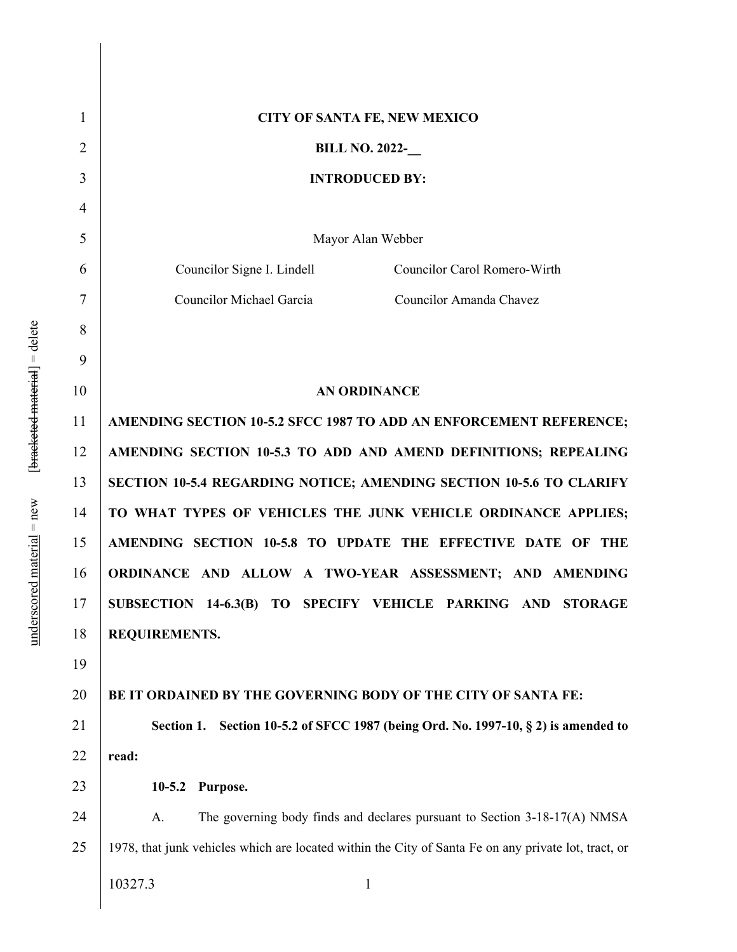| 1              | CITY OF SANTA FE, NEW MEXICO                                                                         |
|----------------|------------------------------------------------------------------------------------------------------|
| $\overline{2}$ | <b>BILL NO. 2022-</b>                                                                                |
| 3              | <b>INTRODUCED BY:</b>                                                                                |
| $\overline{4}$ |                                                                                                      |
| 5              | Mayor Alan Webber                                                                                    |
| 6              | Councilor Signe I. Lindell<br>Councilor Carol Romero-Wirth                                           |
| 7              | <b>Councilor Michael Garcia</b><br>Councilor Amanda Chavez                                           |
| 8              |                                                                                                      |
| 9              |                                                                                                      |
| 10             | <b>AN ORDINANCE</b>                                                                                  |
| 11             | AMENDING SECTION 10-5.2 SFCC 1987 TO ADD AN ENFORCEMENT REFERENCE;                                   |
| 12             | AMENDING SECTION 10-5.3 TO ADD AND AMEND DEFINITIONS; REPEALING                                      |
| 13             | <b>SECTION 10-5.4 REGARDING NOTICE; AMENDING SECTION 10-5.6 TO CLARIFY</b>                           |
| 14             | TO WHAT TYPES OF VEHICLES THE JUNK VEHICLE ORDINANCE APPLIES;                                        |
| 15             | AMENDING SECTION 10-5.8 TO UPDATE THE EFFECTIVE DATE OF THE                                          |
| 16             | ORDINANCE AND ALLOW A TWO-YEAR ASSESSMENT; AND AMENDING                                              |
| 17             | SUBSECTION 14-6.3(B) TO SPECIFY VEHICLE PARKING AND STORAGE                                          |
| 18             | REQUIREMENTS.                                                                                        |
| 19             |                                                                                                      |
| 20             | BE IT ORDAINED BY THE GOVERNING BODY OF THE CITY OF SANTA FE:                                        |
| 21             | Section 10-5.2 of SFCC 1987 (being Ord. No. 1997-10, § 2) is amended to<br>Section 1.                |
| 22             | read:                                                                                                |
| 23             | $10-5.2$<br>Purpose.                                                                                 |
| 24             | The governing body finds and declares pursuant to Section 3-18-17(A) NMSA<br>A.                      |
| 25             | 1978, that junk vehicles which are located within the City of Santa Fe on any private lot, tract, or |
|                | 10327.3<br>$\mathbf{1}$                                                                              |
|                |                                                                                                      |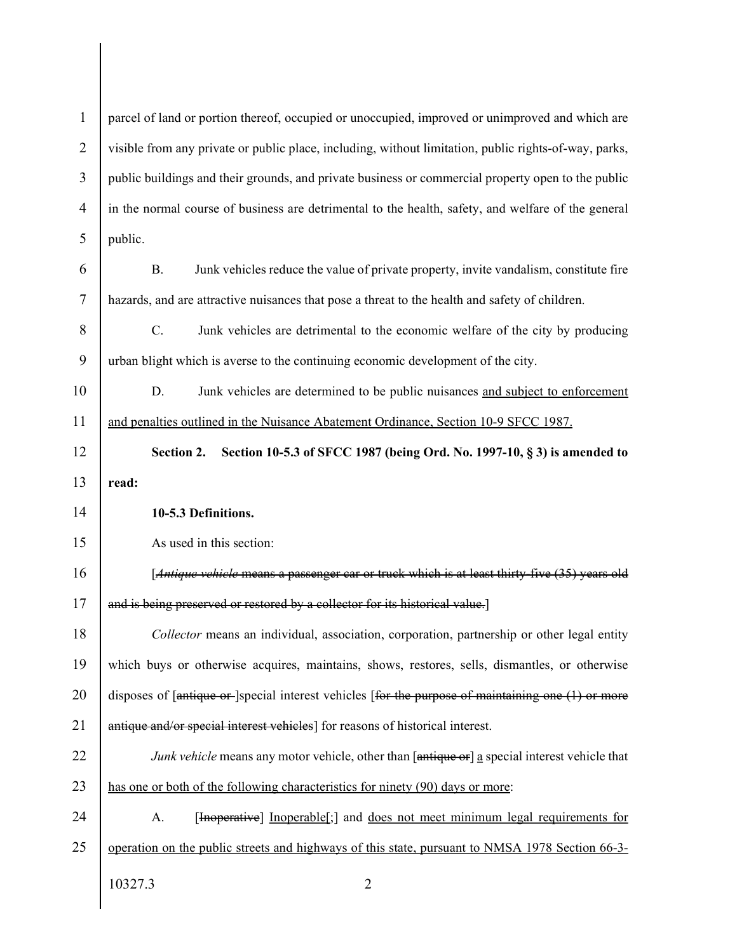| $\mathbf{1}$   | parcel of land or portion thereof, occupied or unoccupied, improved or unimproved and which are       |
|----------------|-------------------------------------------------------------------------------------------------------|
| $\overline{2}$ | visible from any private or public place, including, without limitation, public rights-of-way, parks, |
| 3              | public buildings and their grounds, and private business or commercial property open to the public    |
| $\overline{4}$ | in the normal course of business are detrimental to the health, safety, and welfare of the general    |
| 5              | public.                                                                                               |
| 6              | Junk vehicles reduce the value of private property, invite vandalism, constitute fire<br><b>B.</b>    |
| $\overline{7}$ | hazards, and are attractive nuisances that pose a threat to the health and safety of children.        |
| 8              | C.<br>Junk vehicles are detrimental to the economic welfare of the city by producing                  |
| 9              | urban blight which is averse to the continuing economic development of the city.                      |
| 10             | D.<br>Junk vehicles are determined to be public nuisances and subject to enforcement                  |
| 11             | and penalties outlined in the Nuisance Abatement Ordinance, Section 10-9 SFCC 1987.                   |
| 12             | Section 2.<br>Section 10-5.3 of SFCC 1987 (being Ord. No. 1997-10, § 3) is amended to                 |
| 13             | read:                                                                                                 |
|                |                                                                                                       |
| 14             | 10-5.3 Definitions.                                                                                   |
| 15             | As used in this section:                                                                              |
| 16             | [Antique vehicle means a passenger car or truck which is at least thirty-five (35) years old          |
| 17             | and is being preserved or restored by a collector for its historical value.]                          |
| 18             | Collector means an individual, association, corporation, partnership or other legal entity            |
| 19             | which buys or otherwise acquires, maintains, shows, restores, sells, dismantles, or otherwise         |
| 20             | disposes of [antique or ]special interest vehicles [for the purpose of maintaining one (1) or more    |
| 21             | antique and/or special interest vehicles] for reasons of historical interest.                         |
| 22             | Junk vehicle means any motor vehicle, other than [antique or] a special interest vehicle that         |
| 23             | has one or both of the following characteristics for ninety (90) days or more:                        |
| 24             | [Inoperative] Inoperable[;] and does not meet minimum legal requirements for<br>A.                    |
| 25             | operation on the public streets and highways of this state, pursuant to NMSA 1978 Section 66-3-       |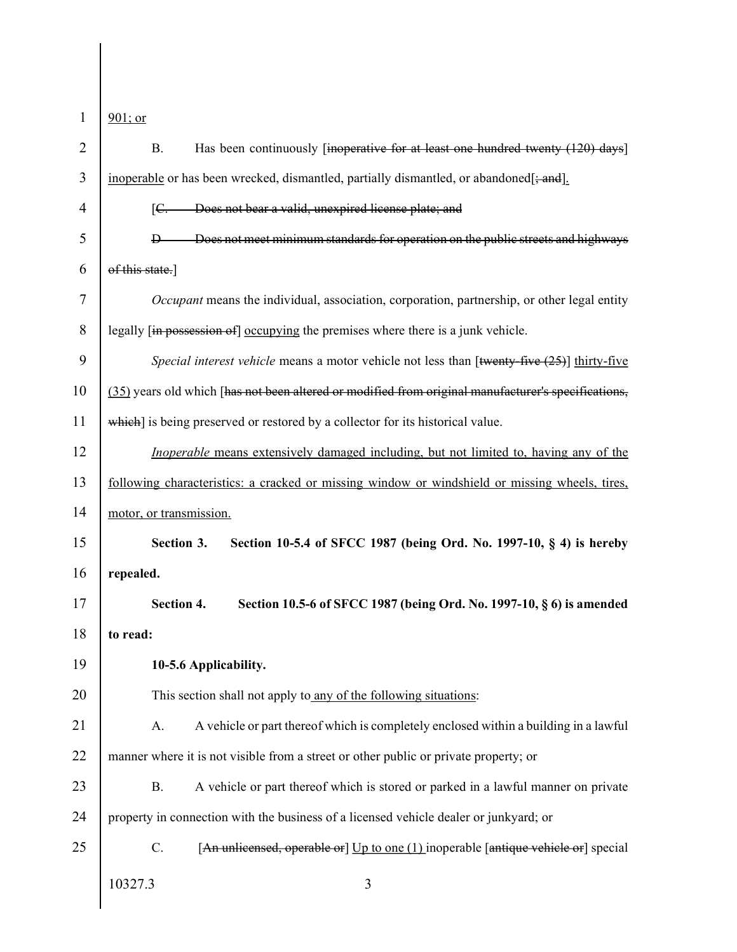| 1  | $901$ ; or                                                                                          |
|----|-----------------------------------------------------------------------------------------------------|
| 2  | Has been continuously [inoperative for at least one hundred twenty (120) days]<br><b>B.</b>         |
| 3  | inoperable or has been wrecked, dismantled, partially dismantled, or abandoned[; and].              |
| 4  | Does not bear a valid, unexpired license plate; and<br>$\mathsf{IC}$ .                              |
| 5  | Does not meet minimum standards for operation on the public streets and highways<br>$\mathbf{D}$    |
| 6  | of this state.]                                                                                     |
| 7  | <i>Occupant</i> means the individual, association, corporation, partnership, or other legal entity  |
| 8  | legally [in possession of] occupying the premises where there is a junk vehicle.                    |
| 9  | Special interest vehicle means a motor vehicle not less than [twenty-five $(25)$ ] thirty-five      |
| 10 | (35) years old which [has not been altered or modified from original manufacturer's specifications, |
| 11 | which] is being preserved or restored by a collector for its historical value.                      |
| 12 | <i>Inoperable</i> means extensively damaged including, but not limited to, having any of the        |
| 13 | following characteristics: a cracked or missing window or windshield or missing wheels, tires,      |
| 14 | motor, or transmission.                                                                             |
| 15 | Section 10-5.4 of SFCC 1987 (being Ord. No. 1997-10, § 4) is hereby<br>Section 3.                   |
| 16 | repealed.                                                                                           |
| 17 | Section 4.<br>Section 10.5-6 of SFCC 1987 (being Ord. No. 1997-10, § 6) is amended                  |
| 18 | to read:                                                                                            |
| 19 | 10-5.6 Applicability.                                                                               |
| 20 | This section shall not apply to any of the following situations:                                    |
| 21 | A vehicle or part thereof which is completely enclosed within a building in a lawful<br>A.          |
| 22 | manner where it is not visible from a street or other public or private property; or                |
| 23 | A vehicle or part thereof which is stored or parked in a lawful manner on private<br><b>B.</b>      |
| 24 | property in connection with the business of a licensed vehicle dealer or junkyard; or               |
| 25 | C.<br>[An unlicensed, operable or] Up to one (1) inoperable [antique vehicle or] special            |
|    | 10327.3<br>3                                                                                        |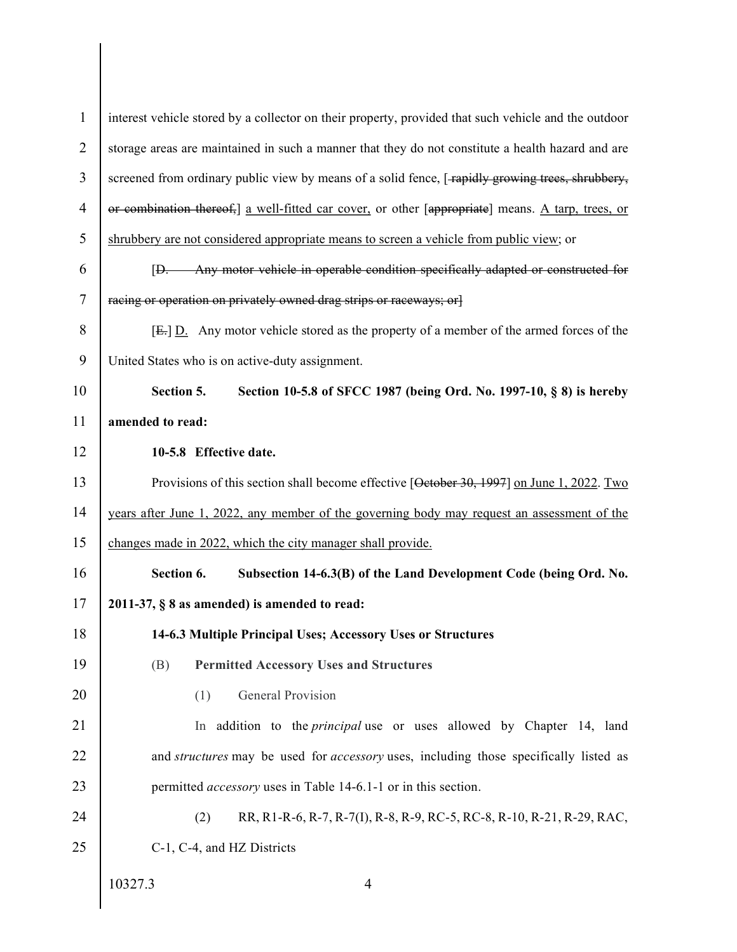| $\mathbf{1}$   | interest vehicle stored by a collector on their property, provided that such vehicle and the outdoor  |
|----------------|-------------------------------------------------------------------------------------------------------|
| $\overline{2}$ | storage areas are maintained in such a manner that they do not constitute a health hazard and are     |
| 3              | screened from ordinary public view by means of a solid fence, [-rapidly growing trees, shrubbery,     |
| 4              | or combination thereof, a well-fitted car cover, or other [appropriate] means. A tarp, trees, or      |
| 5              | shrubbery are not considered appropriate means to screen a vehicle from public view; or               |
| 6              | [D. Any motor vehicle in operable condition specifically adapted or constructed for                   |
| 7              | racing or operation on privately owned drag strips or raceways; or                                    |
| 8              | $E = \underline{D}$ . Any motor vehicle stored as the property of a member of the armed forces of the |
| 9              | United States who is on active-duty assignment.                                                       |
| 10             | Section 5.<br>Section 10-5.8 of SFCC 1987 (being Ord. No. 1997-10, § 8) is hereby                     |
| 11             | amended to read:                                                                                      |
| 12             | 10-5.8 Effective date.                                                                                |
| 13             | Provisions of this section shall become effective [Oetober 30, 1997] on June 1, 2022. Two             |
| 14             | years after June 1, 2022, any member of the governing body may request an assessment of the           |
| 15             | changes made in 2022, which the city manager shall provide.                                           |
| 16             | Subsection 14-6.3(B) of the Land Development Code (being Ord. No.<br>Section 6.                       |
| 17             | $2011-37, § 8$ as amended) is amended to read:                                                        |
| 18             | 14-6.3 Multiple Principal Uses; Accessory Uses or Structures                                          |
| 19             | <b>Permitted Accessory Uses and Structures</b><br>(B)                                                 |
| 20             | General Provision<br>(1)                                                                              |
| 21             | In addition to the <i>principal</i> use or uses allowed by Chapter 14, land                           |
| 22             | and <i>structures</i> may be used for <i>accessory</i> uses, including those specifically listed as   |
| 23             | permitted <i>accessory</i> uses in Table 14-6.1-1 or in this section.                                 |
| 24             | (2)<br>RR, R1-R-6, R-7, R-7(I), R-8, R-9, RC-5, RC-8, R-10, R-21, R-29, RAC,                          |
| 25             | C-1, C-4, and HZ Districts                                                                            |
|                | 10327.3<br>$\overline{4}$                                                                             |

 $\mathsf{l}$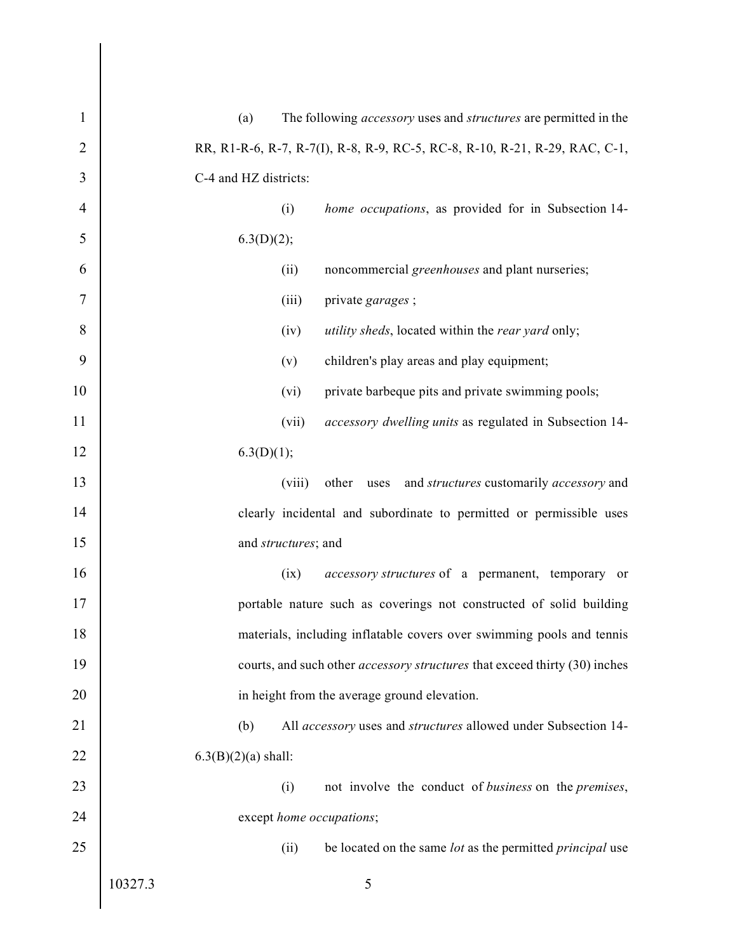| $\mathbf{1}$ | The following <i>accessory</i> uses and <i>structures</i> are permitted in the<br>(a) |
|--------------|---------------------------------------------------------------------------------------|
| 2            | RR, R1-R-6, R-7, R-7(I), R-8, R-9, RC-5, RC-8, R-10, R-21, R-29, RAC, C-1,            |
| 3            | C-4 and HZ districts:                                                                 |
| 4            | (i)<br>home occupations, as provided for in Subsection 14-                            |
| 5            | 6.3(D)(2);                                                                            |
| 6            | noncommercial greenhouses and plant nurseries;<br>(ii)                                |
| 7            | (iii)<br>private garages;                                                             |
| 8            | <i>utility sheds</i> , located within the <i>rear yard</i> only;<br>(iv)              |
| 9            | children's play areas and play equipment;<br>(v)                                      |
| 10           | (vi)<br>private barbeque pits and private swimming pools;                             |
| 11           | (vii)<br>accessory dwelling units as regulated in Subsection 14-                      |
| 12           | 6.3(D)(1);                                                                            |
| 13           | (viii)<br>other uses and <i>structures</i> customarily <i>accessory</i> and           |
| 14           | clearly incidental and subordinate to permitted or permissible uses                   |
| 15           | and structures; and                                                                   |
| 16           | (ix)<br><i>accessory structures</i> of a permanent, temporary or                      |
| 17           | portable nature such as coverings not constructed of solid building                   |
| 18           | materials, including inflatable covers over swimming pools and tennis                 |
| 19           | courts, and such other accessory structures that exceed thirty (30) inches            |
| 20           | in height from the average ground elevation.                                          |
| 21           | All accessory uses and structures allowed under Subsection 14-<br>(b)                 |
| 22           | $6.3(B)(2)(a)$ shall:                                                                 |
| 23           | (i)<br>not involve the conduct of business on the premises,                           |
| 24           | except home occupations;                                                              |
| 25           | (ii)<br>be located on the same lot as the permitted <i>principal</i> use              |
|              | 5<br>10327.3                                                                          |
|              |                                                                                       |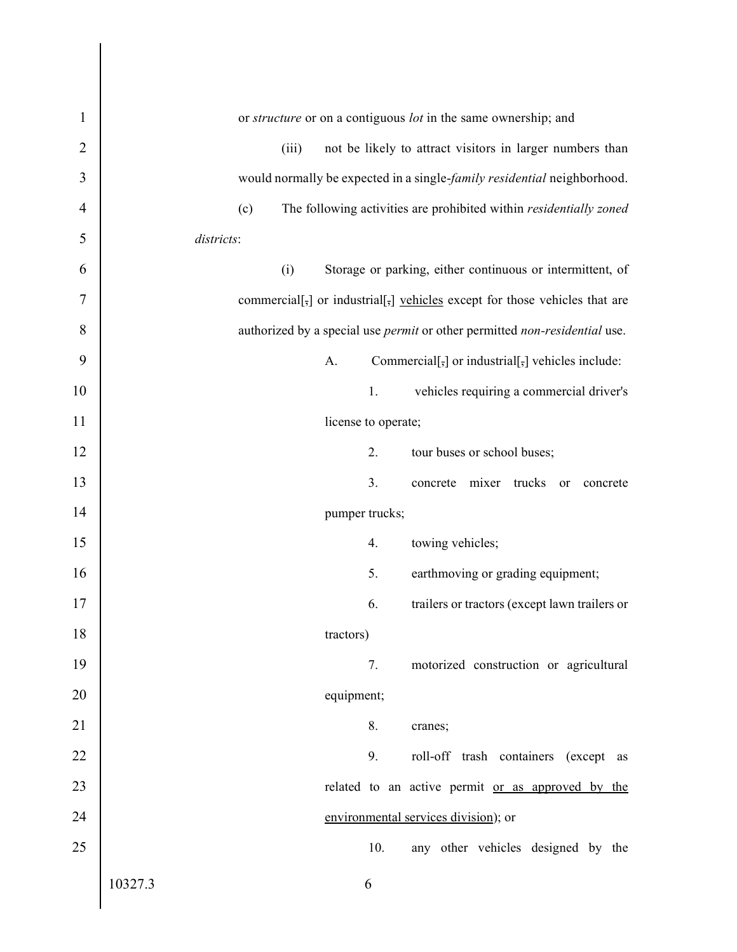| $\mathbf{1}$   | or structure or on a contiguous lot in the same ownership; and                                                 |
|----------------|----------------------------------------------------------------------------------------------------------------|
| 2              | not be likely to attract visitors in larger numbers than<br>(iii)                                              |
| 3              | would normally be expected in a single-family residential neighborhood.                                        |
| $\overline{4}$ | (c)<br>The following activities are prohibited within residentially zoned                                      |
| 5              | districts:                                                                                                     |
| 6              | (i)<br>Storage or parking, either continuous or intermittent, of                                               |
| 7              | commercial[ $_{\overline{5}}$ ] or industrial[ $_{\overline{5}}$ ] vehicles except for those vehicles that are |
| 8              | authorized by a special use <i>permit</i> or other permitted non-residential use.                              |
| 9              | Commercial[ $\frac{1}{2}$ ] or industrial[ $\frac{1}{2}$ ] vehicles include:<br>A.                             |
| 10             | vehicles requiring a commercial driver's<br>1.                                                                 |
| 11             | license to operate;                                                                                            |
| 12             | 2.<br>tour buses or school buses;                                                                              |
| 13             | 3.<br>concrete mixer trucks or concrete                                                                        |
| 14             | pumper trucks;                                                                                                 |
| 15             | 4.<br>towing vehicles;                                                                                         |
| 16             | 5.<br>earthmoving or grading equipment;                                                                        |
| 17             | 6.<br>trailers or tractors (except lawn trailers or                                                            |
| 18             | tractors)                                                                                                      |
| 19             | 7.<br>motorized construction or agricultural                                                                   |
| 20             | equipment;                                                                                                     |
| 21             | 8.<br>cranes;                                                                                                  |
| 22             | 9.<br>roll-off trash containers (except as                                                                     |
| 23             | related to an active permit or as approved by the                                                              |
| 24             | environmental services division); or                                                                           |
| 25             | 10.<br>any other vehicles designed by the                                                                      |
|                | 10327.3<br>6                                                                                                   |

 $\mathsf{l}$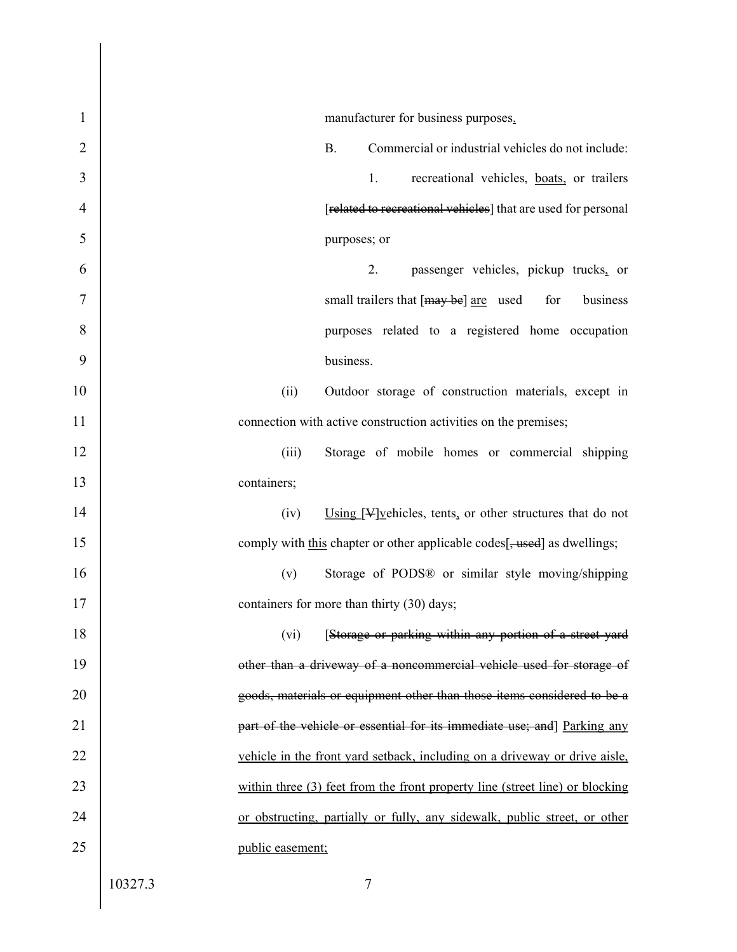| 1  |         | manufacturer for business purposes.                                            |
|----|---------|--------------------------------------------------------------------------------|
| 2  |         | <b>B.</b><br>Commercial or industrial vehicles do not include:                 |
| 3  |         | 1.<br>recreational vehicles, boats, or trailers                                |
| 4  |         | [related to recreational vehicles] that are used for personal                  |
| 5  |         | purposes; or                                                                   |
| 6  |         | 2.<br>passenger vehicles, pickup trucks, or                                    |
| 7  |         | small trailers that [may be] are used<br>business<br>for                       |
| 8  |         | purposes related to a registered home occupation                               |
| 9  |         | business.                                                                      |
| 10 |         | (ii)<br>Outdoor storage of construction materials, except in                   |
| 11 |         | connection with active construction activities on the premises;                |
| 12 |         | Storage of mobile homes or commercial shipping<br>(iii)                        |
| 13 |         | containers;                                                                    |
| 14 |         | (iv)<br>Using $[\frac{1}{2}]$ vehicles, tents, or other structures that do not |
| 15 |         | comply with this chapter or other applicable codes[, used] as dwellings;       |
| 16 |         | (v)<br>Storage of PODS® or similar style moving/shipping                       |
| 17 |         | containers for more than thirty (30) days;                                     |
| 18 |         | (vi)<br>[Storage or parking within any portion of a street yard                |
| 19 |         | other than a driveway of a noncommercial vehicle used for storage of           |
| 20 |         | goods, materials or equipment other than those items considered to be a        |
| 21 |         | part of the vehicle or essential for its immediate use; and Parking any        |
| 22 |         | vehicle in the front yard setback, including on a driveway or drive aisle,     |
| 23 |         | within three (3) feet from the front property line (street line) or blocking   |
| 24 |         | or obstructing, partially or fully, any sidewalk, public street, or other      |
| 25 |         | public easement;                                                               |
|    | 10327.3 | $\tau$                                                                         |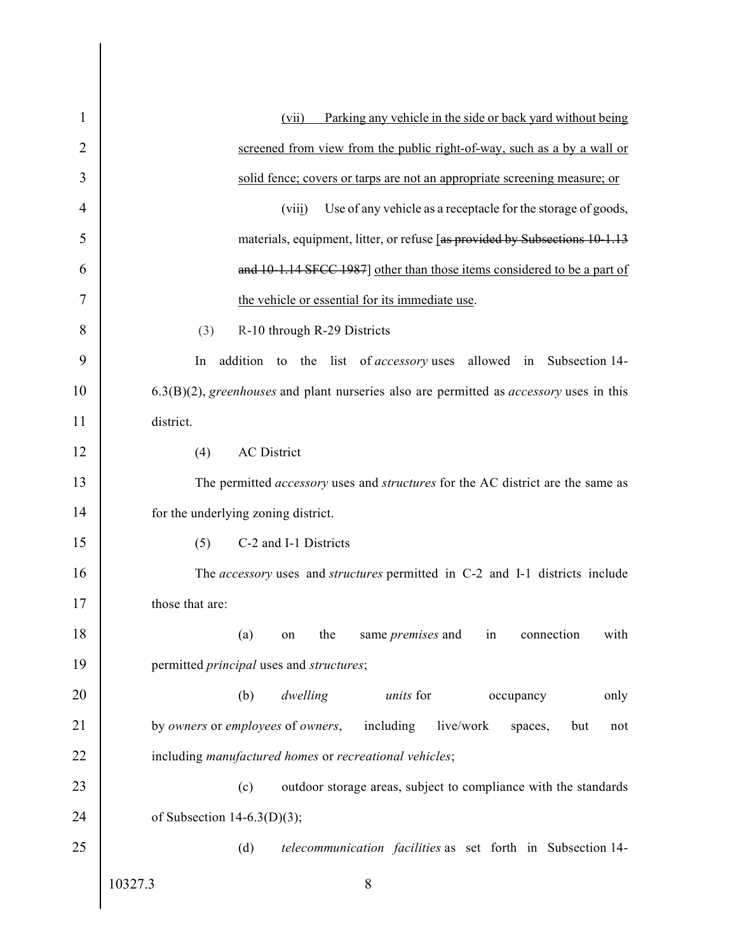| 1  | Parking any vehicle in the side or back yard without being<br>(vii)                                 |
|----|-----------------------------------------------------------------------------------------------------|
| 2  | screened from view from the public right-of-way, such as a by a wall or                             |
| 3  | solid fence; covers or tarps are not an appropriate screening measure; or                           |
| 4  | Use of any vehicle as a receptacle for the storage of goods,<br>(viii)                              |
| 5  | materials, equipment, litter, or refuse [as provided by Subsections 10-1.13                         |
| 6  | and 10-1.14 SFCC 1987] other than those items considered to be a part of                            |
| 7  | the vehicle or essential for its immediate use.                                                     |
| 8  | (3)<br>R-10 through R-29 Districts                                                                  |
| 9  | addition to the list of <i>accessory</i> uses allowed in Subsection 14-<br>In                       |
| 10 | $(6.3(B)(2))$ , greenhouses and plant nurseries also are permitted as <i>accessory</i> uses in this |
| 11 | district.                                                                                           |
| 12 | <b>AC</b> District<br>(4)                                                                           |
| 13 | The permitted accessory uses and structures for the AC district are the same as                     |
| 14 | for the underlying zoning district.                                                                 |
| 15 | C-2 and I-1 Districts<br>(5)                                                                        |
| 16 | The accessory uses and structures permitted in C-2 and I-1 districts include                        |
| 17 | those that are:                                                                                     |
| 18 | same <i>premises</i> and in connection<br>(a)<br>with<br>the<br>on                                  |
| 19 | permitted <i>principal</i> uses and <i>structures</i> ;                                             |
| 20 | (b)<br>dwelling<br>units for<br>occupancy<br>only                                                   |
| 21 | by owners or employees of owners,<br>including<br>live/work<br>spaces,<br>but<br>not                |
| 22 | including manufactured homes or recreational vehicles;                                              |
| 23 | (c)<br>outdoor storage areas, subject to compliance with the standards                              |
| 24 | of Subsection 14-6.3(D)(3);                                                                         |
| 25 | (d)<br>telecommunication facilities as set forth in Subsection 14-                                  |
|    | 10327.3<br>8                                                                                        |
|    |                                                                                                     |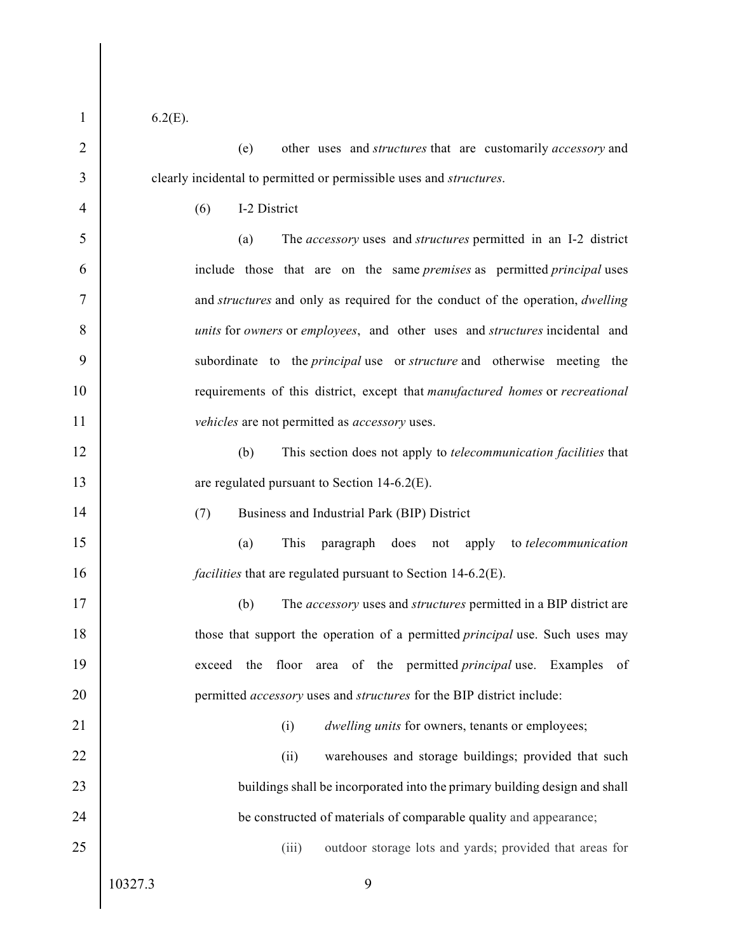1 6.2(E).

2 (e) other uses and *structures* that are customarily *accessory* and 3 clearly incidental to permitted or permissible uses and *structures*.<br>4 (6) I-2 District

5 (a) The *accessory* uses and *structures* permitted in an I-2 district 6 include those that are on the same premises as permitted principal uses 7 and structures and only as required for the conduct of the operation, dwelling 8 units for *owners* or *employees*, and other uses and *structures* incidental and 9 subordinate to the *principal* use or *structure* and otherwise meeting the 10 **requirements** of this district, except that manufactured homes or recreational 11 vehicles are not permitted as *accessory* uses. Charly incidental to permitted or permissible uses and *structures*.<br>
14 (6) 1-2 District<br>
14 (a) The *accessory* uses and *structures* permitted in an I-2 district<br>
15 (a) The *accessory* uses and *structures* permitted 16 include those that are on the same *premises* as permitted *principal* uses<br>
26 and *structures* and only as required for the conduct of the operation, *dwelling*<br>
28 *units* for *owners* or *employees*, and other uses

12 (b) This section does not apply to *telecommunication facilities* that

## 14 (7) Business and Industrial Park (BIP) District

15 (a) This paragraph does not apply to telecommunication

17 (b) The *accessory* uses and *structures* permitted in a BIP district are 18 those that support the operation of a permitted *principal* use. Such uses may 19 exceed the floor area of the permitted *principal* use. Examples of 20 **permitted** accessory uses and *structures* for the BIP district include:

## 21 (i) dwelling units for owners, tenants or employees;

22 (ii) warehouses and storage buildings; provided that such 23 buildings shall be incorporated into the primary building design and shall 24 **be constructed of materials of comparable quality and appearance;** 

25 (iii) outdoor storage lots and yards; provided that areas for

10327.3 9